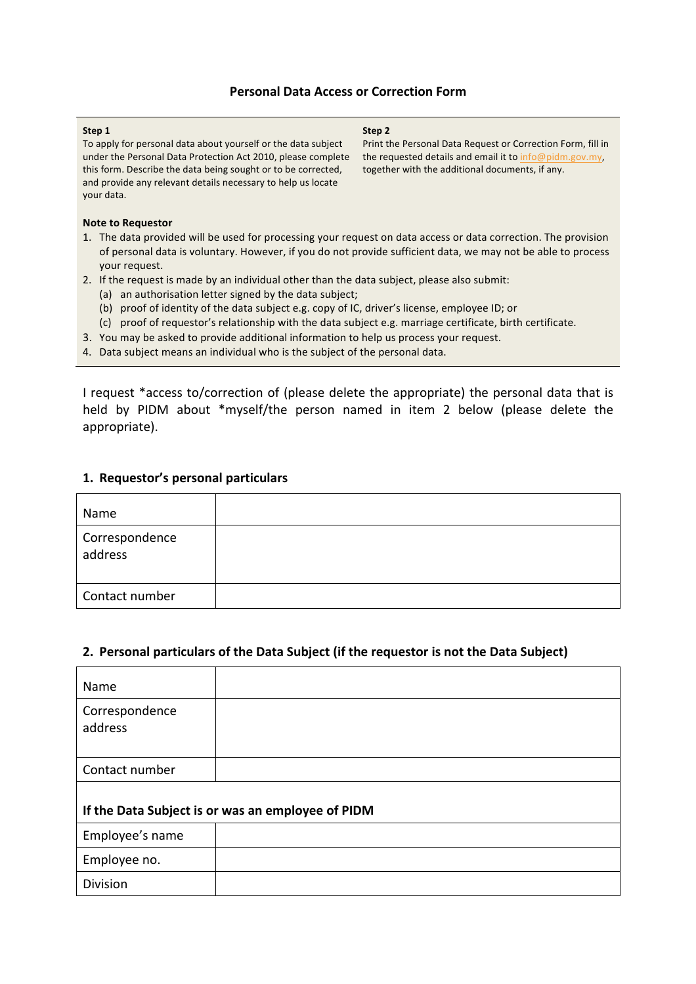## **Personal Data Access or Correction Form**

#### **Step 1**

To apply for personal data about yourself or the data subject under the Personal Data Protection Act 2010, please complete this form. Describe the data being sought or to be corrected, and provide any relevant details necessary to help us locate your data.

**Step 2**

Print the Personal Data Request or Correction Form, fill in the requested details and email it to  $info@pidm.gov.my$ , together with the additional documents, if any.

#### **Note to Requestor**

- 1. The data provided will be used for processing your request on data access or data correction. The provision of personal data is voluntary. However, if you do not provide sufficient data, we may not be able to process your request.
- 2. If the request is made by an individual other than the data subject, please also submit:
	- (a) an authorisation letter signed by the data subject;
	- (b) proof of identity of the data subject e.g. copy of IC, driver's license, employee ID; or
	- (c) proof of requestor's relationship with the data subject e.g. marriage certificate, birth certificate.
- 3. You may be asked to provide additional information to help us process your request.
- 4. Data subject means an individual who is the subject of the personal data.

I request \*access to/correction of (please delete the appropriate) the personal data that is held by PIDM about \*myself/the person named in item 2 below (please delete the appropriate).

## **1. Requestor's personal particulars**

| Name                      |  |
|---------------------------|--|
| Correspondence<br>address |  |
| Contact number            |  |

## 2. Personal particulars of the Data Subject (if the requestor is not the Data Subject)

| Name                                              |  |  |
|---------------------------------------------------|--|--|
| Correspondence<br>address                         |  |  |
| Contact number                                    |  |  |
|                                                   |  |  |
| If the Data Subject is or was an employee of PIDM |  |  |
| Employee's name                                   |  |  |
| Employee no.                                      |  |  |
| Division                                          |  |  |